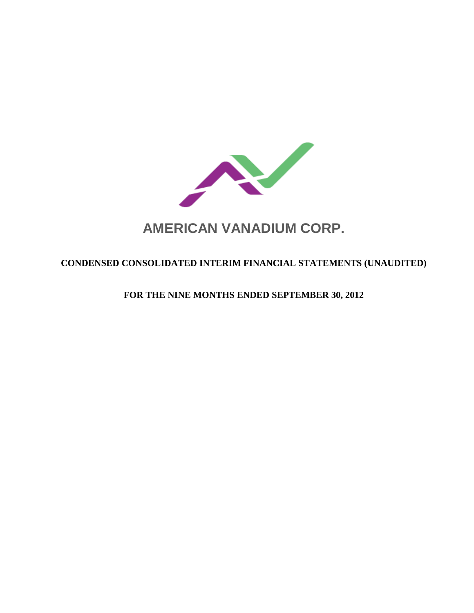

# **CONDENSED CONSOLIDATED INTERIM FINANCIAL STATEMENTS (UNAUDITED)**

**FOR THE NINE MONTHS ENDED SEPTEMBER 30, 2012**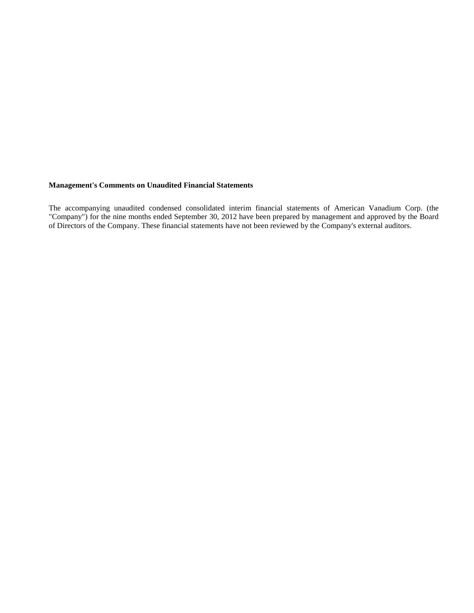# **Management's Comments on Unaudited Financial Statements**

The accompanying unaudited condensed consolidated interim financial statements of American Vanadium Corp. (the "Company") for the nine months ended September 30, 2012 have been prepared by management and approved by the Board of Directors of the Company. These financial statements have not been reviewed by the Company's external auditors.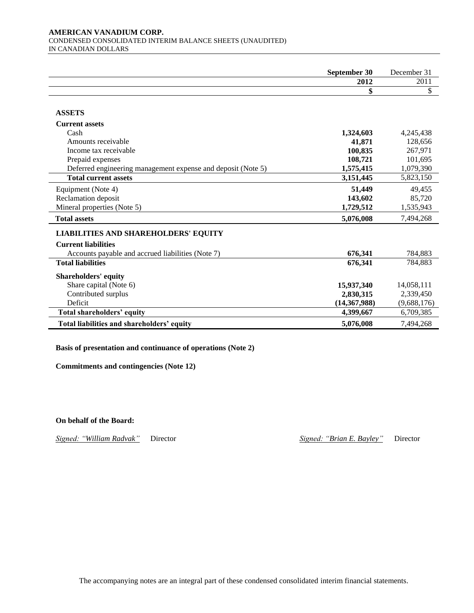#### **AMERICAN VANADIUM CORP.**  CONDENSED CONSOLIDATED INTERIM BALANCE SHEETS (UNAUDITED) IN CANADIAN DOLLARS

|                                                              | September 30   | December 31 |
|--------------------------------------------------------------|----------------|-------------|
|                                                              | 2012           | 2011        |
|                                                              | \$             | \$          |
|                                                              |                |             |
| <b>ASSETS</b>                                                |                |             |
| <b>Current assets</b>                                        |                |             |
| Cash                                                         | 1,324,603      | 4,245,438   |
| Amounts receivable                                           | 41,871         | 128,656     |
| Income tax receivable                                        | 100,835        | 267.971     |
| Prepaid expenses                                             | 108,721        | 101,695     |
| Deferred engineering management expense and deposit (Note 5) | 1,575,415      | 1,079,390   |
| <b>Total current assets</b>                                  | 3,151,445      | 5,823,150   |
| Equipment (Note 4)                                           | 51,449         | 49,455      |
| Reclamation deposit                                          | 143,602        | 85,720      |
| Mineral properties (Note 5)                                  | 1,729,512      | 1,535,943   |
| <b>Total assets</b>                                          | 5,076,008      | 7,494,268   |
| <b>LIABILITIES AND SHAREHOLDERS' EQUITY</b>                  |                |             |
| <b>Current liabilities</b>                                   |                |             |
| Accounts payable and accrued liabilities (Note 7)            | 676,341        | 784,883     |
| <b>Total liabilities</b>                                     | 676,341        | 784,883     |
| <b>Shareholders' equity</b>                                  |                |             |
| Share capital (Note 6)                                       | 15,937,340     | 14,058,111  |
| Contributed surplus                                          | 2,830,315      | 2,339,450   |
| Deficit                                                      | (14, 367, 988) | (9,688,176) |
| Total shareholders' equity                                   | 4,399,667      | 6,709,385   |
| Total liabilities and shareholders' equity                   | 5,076,008      | 7,494,268   |

# **Basis of presentation and continuance of operations (Note 2)**

**Commitments and contingencies (Note 12)**

**On behalf of the Board:**

*Signed: "William Radvak"* Director *Signed: "Brian E. Bayley"* Director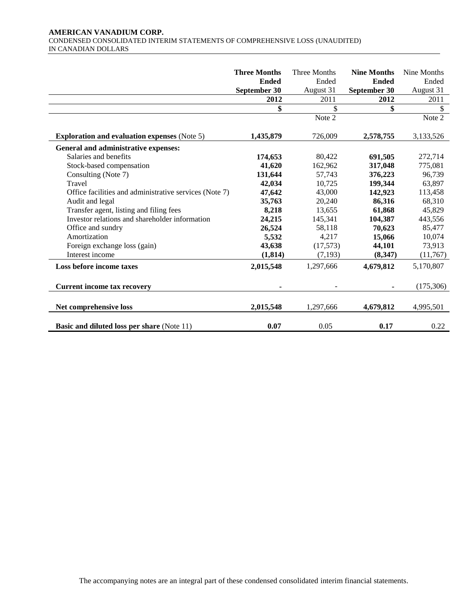# **AMERICAN VANADIUM CORP.**  CONDENSED CONSOLIDATED INTERIM STATEMENTS OF COMPREHENSIVE LOSS (UNAUDITED) IN CANADIAN DOLLARS

|                                                        | <b>Three Months</b> | Three Months | <b>Nine Months</b> | Nine Months |
|--------------------------------------------------------|---------------------|--------------|--------------------|-------------|
|                                                        | <b>Ended</b>        | Ended        | <b>Ended</b>       | Ended       |
|                                                        | September 30        | August 31    | September 30       | August 31   |
|                                                        | 2012                | 2011         | 2012               | 2011        |
|                                                        | \$                  | \$           | \$                 | \$          |
|                                                        |                     | Note 2       |                    | Note 2      |
|                                                        |                     |              |                    |             |
| <b>Exploration and evaluation expenses (Note 5)</b>    | 1,435,879           | 726,009      | 2,578,755          | 3,133,526   |
| General and administrative expenses:                   |                     |              |                    |             |
| Salaries and benefits                                  | 174,653             | 80,422       | 691,505            | 272,714     |
| Stock-based compensation                               | 41,620              | 162,962      | 317,048            | 775,081     |
| Consulting (Note 7)                                    | 131,644             | 57,743       | 376,223            | 96,739      |
| Travel                                                 | 42,034              | 10,725       | 199,344            | 63,897      |
| Office facilities and administrative services (Note 7) | 47,642              | 43,000       | 142,923            | 113,458     |
| Audit and legal                                        | 35,763              | 20,240       | 86,316             | 68,310      |
| Transfer agent, listing and filing fees                | 8,218               | 13,655       | 61,868             | 45,829      |
| Investor relations and shareholder information         | 24,215              | 145,341      | 104,387            | 443,556     |
| Office and sundry                                      | 26,524              | 58,118       | 70,623             | 85,477      |
| Amortization                                           | 5,532               | 4,217        | 15,066             | 10,074      |
| Foreign exchange loss (gain)                           | 43,638              | (17,573)     | 44,101             | 73,913      |
| Interest income                                        | (1, 814)            | (7, 193)     | (8,347)            | (11,767)    |
| Loss before income taxes                               | 2,015,548           | 1,297,666    | 4,679,812          | 5,170,807   |
|                                                        |                     |              |                    |             |
| <b>Current income tax recovery</b>                     |                     |              |                    | (175,306)   |
|                                                        |                     |              |                    |             |
| Net comprehensive loss                                 | 2,015,548           | 1,297,666    | 4,679,812          | 4,995,501   |
|                                                        |                     |              |                    |             |
| <b>Basic and diluted loss per share (Note 11)</b>      | 0.07                | 0.05         | 0.17               | 0.22        |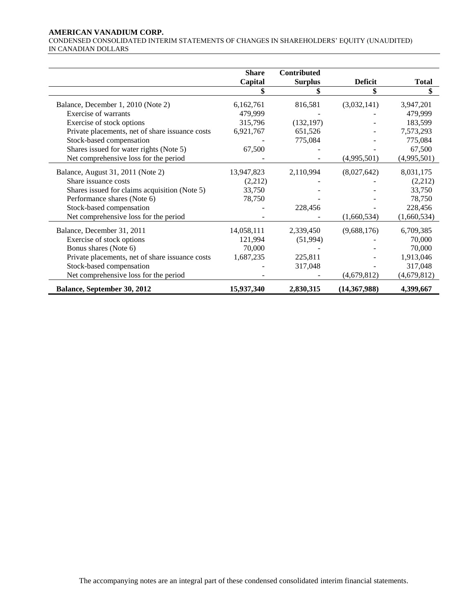# **AMERICAN VANADIUM CORP.**

CONDENSED CONSOLIDATED INTERIM STATEMENTS OF CHANGES IN SHAREHOLDERS' EQUITY (UNAUDITED) IN CANADIAN DOLLARS

|                                                 | <b>Share</b> | Contributed    |                |             |
|-------------------------------------------------|--------------|----------------|----------------|-------------|
|                                                 | Capital      | <b>Surplus</b> | <b>Deficit</b> | Total       |
|                                                 |              | \$             | \$             | \$          |
| Balance, December 1, 2010 (Note 2)              | 6,162,761    | 816,581        | (3,032,141)    | 3,947,201   |
| Exercise of warrants                            | 479,999      |                |                | 479,999     |
| Exercise of stock options                       | 315,796      | (132, 197)     |                | 183,599     |
| Private placements, net of share issuance costs | 6,921,767    | 651,526        |                | 7,573,293   |
| Stock-based compensation                        |              | 775,084        |                | 775,084     |
| Shares issued for water rights (Note 5)         | 67,500       |                |                | 67,500      |
|                                                 |              |                |                |             |
| Net comprehensive loss for the period           |              |                | (4,995,501)    | (4,995,501) |
| Balance, August 31, 2011 (Note 2)               | 13,947,823   | 2,110,994      | (8,027,642)    | 8,031,175   |
| Share issuance costs                            | (2,212)      |                |                | (2,212)     |
| Shares issued for claims acquisition (Note 5)   | 33,750       |                |                | 33,750      |
| Performance shares (Note 6)                     | 78,750       |                |                | 78,750      |
| Stock-based compensation                        |              | 228,456        |                | 228,456     |
| Net comprehensive loss for the period           |              |                | (1,660,534)    | (1,660,534) |
| Balance, December 31, 2011                      | 14,058,111   | 2,339,450      | (9,688,176)    | 6,709,385   |
|                                                 |              |                |                |             |
| Exercise of stock options                       | 121,994      | (51, 994)      |                | 70,000      |
| Bonus shares (Note 6)                           | 70,000       |                |                | 70,000      |
| Private placements, net of share issuance costs | 1,687,235    | 225,811        |                | 1,913,046   |
| Stock-based compensation                        |              | 317,048        |                | 317,048     |
| Net comprehensive loss for the period           |              |                | (4,679,812)    | (4,679,812) |
| Balance, September 30, 2012                     | 15,937,340   | 2,830,315      | (14, 367, 988) | 4,399,667   |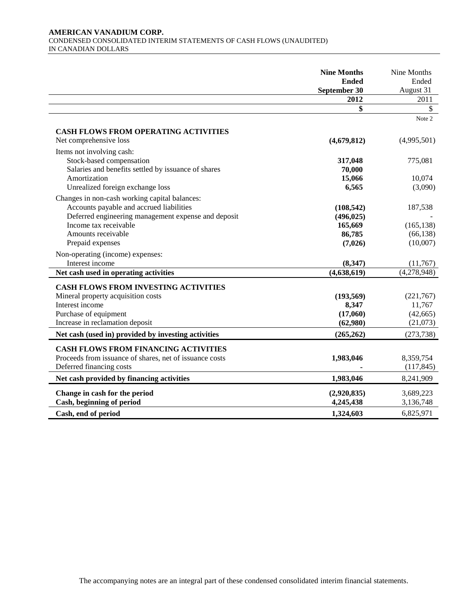# **AMERICAN VANADIUM CORP.**  CONDENSED CONSOLIDATED INTERIM STATEMENTS OF CASH FLOWS (UNAUDITED) IN CANADIAN DOLLARS

|                                                         | <b>Nine Months</b><br><b>Ended</b><br>September 30 | Nine Months<br>Ended<br>August 31 |
|---------------------------------------------------------|----------------------------------------------------|-----------------------------------|
|                                                         | 2012                                               | 2011                              |
|                                                         | \$                                                 | $\mathbb{S}$                      |
|                                                         |                                                    | Note 2                            |
| <b>CASH FLOWS FROM OPERATING ACTIVITIES</b>             |                                                    |                                   |
| Net comprehensive loss                                  | (4,679,812)                                        | (4,995,501)                       |
| Items not involving cash:                               |                                                    |                                   |
| Stock-based compensation                                | 317,048                                            | 775,081                           |
| Salaries and benefits settled by issuance of shares     | 70,000                                             |                                   |
| Amortization                                            | 15,066                                             | 10,074                            |
| Unrealized foreign exchange loss                        | 6,565                                              | (3,090)                           |
| Changes in non-cash working capital balances:           |                                                    |                                   |
| Accounts payable and accrued liabilities                | (108, 542)                                         | 187,538                           |
| Deferred engineering management expense and deposit     | (496, 025)                                         |                                   |
| Income tax receivable                                   | 165,669                                            | (165, 138)                        |
| Amounts receivable                                      | 86,785                                             | (66, 138)                         |
| Prepaid expenses                                        | (7,026)                                            | (10,007)                          |
| Non-operating (income) expenses:                        |                                                    |                                   |
| Interest income                                         | (8, 347)                                           | (11,767)                          |
| Net cash used in operating activities                   | (4,638,619)                                        | (4,278,948)                       |
| <b>CASH FLOWS FROM INVESTING ACTIVITIES</b>             |                                                    |                                   |
| Mineral property acquisition costs                      | (193, 569)                                         | (221,767)                         |
| Interest income                                         | 8,347                                              | 11,767                            |
| Purchase of equipment                                   | (17,060)                                           | (42, 665)                         |
| Increase in reclamation deposit                         | (62,980)                                           | (21,073)                          |
| Net cash (used in) provided by investing activities     | (265, 262)                                         | (273, 738)                        |
| <b>CASH FLOWS FROM FINANCING ACTIVITIES</b>             |                                                    |                                   |
| Proceeds from issuance of shares, net of issuance costs | 1,983,046                                          | 8,359,754                         |
| Deferred financing costs                                |                                                    | (117, 845)                        |
| Net cash provided by financing activities               | 1,983,046                                          | 8,241,909                         |
| Change in cash for the period                           |                                                    | 3,689,223                         |
| Cash, beginning of period                               | (2,920,835)<br>4,245,438                           | 3,136,748                         |
|                                                         |                                                    |                                   |
| Cash, end of period                                     | 1,324,603                                          | 6,825,971                         |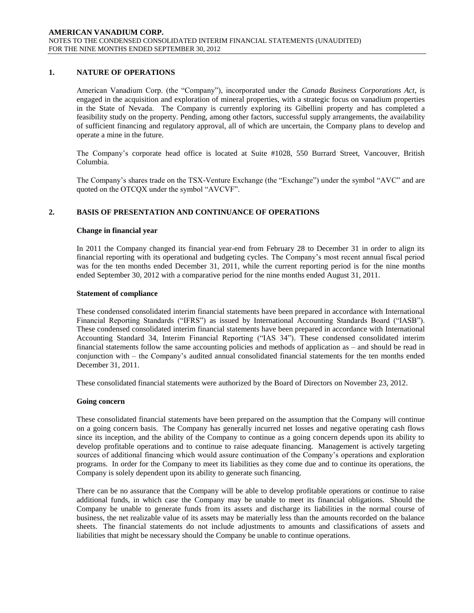# **1. NATURE OF OPERATIONS**

American Vanadium Corp. (the "Company"), incorporated under the *Canada Business Corporations Act*, is engaged in the acquisition and exploration of mineral properties, with a strategic focus on vanadium properties in the State of Nevada. The Company is currently exploring its Gibellini property and has completed a feasibility study on the property. Pending, among other factors, successful supply arrangements, the availability of sufficient financing and regulatory approval, all of which are uncertain, the Company plans to develop and operate a mine in the future.

The Company's corporate head office is located at Suite #1028, 550 Burrard Street, Vancouver, British Columbia.

The Company's shares trade on the TSX-Venture Exchange (the "Exchange") under the symbol "AVC" and are quoted on the OTCQX under the symbol "AVCVF".

# **2. BASIS OF PRESENTATION AND CONTINUANCE OF OPERATIONS**

### **Change in financial year**

In 2011 the Company changed its financial year-end from February 28 to December 31 in order to align its financial reporting with its operational and budgeting cycles. The Company's most recent annual fiscal period was for the ten months ended December 31, 2011, while the current reporting period is for the nine months ended September 30, 2012 with a comparative period for the nine months ended August 31, 2011.

### **Statement of compliance**

These condensed consolidated interim financial statements have been prepared in accordance with International Financial Reporting Standards ("IFRS") as issued by International Accounting Standards Board ("IASB"). These condensed consolidated interim financial statements have been prepared in accordance with International Accounting Standard 34, Interim Financial Reporting ("IAS 34"). These condensed consolidated interim financial statements follow the same accounting policies and methods of application as – and should be read in conjunction with – the Company's audited annual consolidated financial statements for the ten months ended December 31, 2011.

These consolidated financial statements were authorized by the Board of Directors on November 23, 2012.

### **Going concern**

These consolidated financial statements have been prepared on the assumption that the Company will continue on a going concern basis. The Company has generally incurred net losses and negative operating cash flows since its inception, and the ability of the Company to continue as a going concern depends upon its ability to develop profitable operations and to continue to raise adequate financing. Management is actively targeting sources of additional financing which would assure continuation of the Company's operations and exploration programs. In order for the Company to meet its liabilities as they come due and to continue its operations, the Company is solely dependent upon its ability to generate such financing.

There can be no assurance that the Company will be able to develop profitable operations or continue to raise additional funds, in which case the Company may be unable to meet its financial obligations. Should the Company be unable to generate funds from its assets and discharge its liabilities in the normal course of business, the net realizable value of its assets may be materially less than the amounts recorded on the balance sheets. The financial statements do not include adjustments to amounts and classifications of assets and liabilities that might be necessary should the Company be unable to continue operations.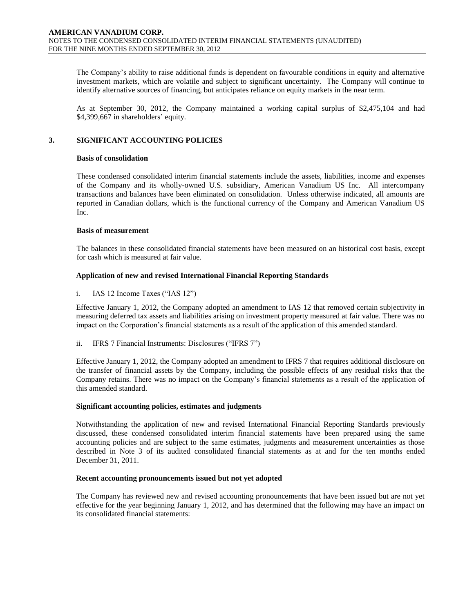The Company's ability to raise additional funds is dependent on favourable conditions in equity and alternative investment markets, which are volatile and subject to significant uncertainty. The Company will continue to identify alternative sources of financing, but anticipates reliance on equity markets in the near term.

As at September 30, 2012, the Company maintained a working capital surplus of \$2,475,104 and had \$4,399,667 in shareholders' equity.

# **3. SIGNIFICANT ACCOUNTING POLICIES**

# **Basis of consolidation**

These condensed consolidated interim financial statements include the assets, liabilities, income and expenses of the Company and its wholly-owned U.S. subsidiary, American Vanadium US Inc. All intercompany transactions and balances have been eliminated on consolidation. Unless otherwise indicated, all amounts are reported in Canadian dollars, which is the functional currency of the Company and American Vanadium US Inc.

# **Basis of measurement**

The balances in these consolidated financial statements have been measured on an historical cost basis, except for cash which is measured at fair value.

# **Application of new and revised International Financial Reporting Standards**

# i. IAS 12 Income Taxes ("IAS  $12$ ")

Effective January 1, 2012, the Company adopted an amendment to IAS 12 that removed certain subjectivity in measuring deferred tax assets and liabilities arising on investment property measured at fair value. There was no impact on the Corporation's financial statements as a result of the application of this amended standard.

ii. IFRS 7 Financial Instruments: Disclosures ("IFRS 7")

Effective January 1, 2012, the Company adopted an amendment to IFRS 7 that requires additional disclosure on the transfer of financial assets by the Company, including the possible effects of any residual risks that the Company retains. There was no impact on the Company's financial statements as a result of the application of this amended standard.

### **Significant accounting policies, estimates and judgments**

Notwithstanding the application of new and revised International Financial Reporting Standards previously discussed, these condensed consolidated interim financial statements have been prepared using the same accounting policies and are subject to the same estimates, judgments and measurement uncertainties as those described in Note 3 of its audited consolidated financial statements as at and for the ten months ended December 31, 2011.

### **Recent accounting pronouncements issued but not yet adopted**

The Company has reviewed new and revised accounting pronouncements that have been issued but are not yet effective for the year beginning January 1, 2012, and has determined that the following may have an impact on its consolidated financial statements: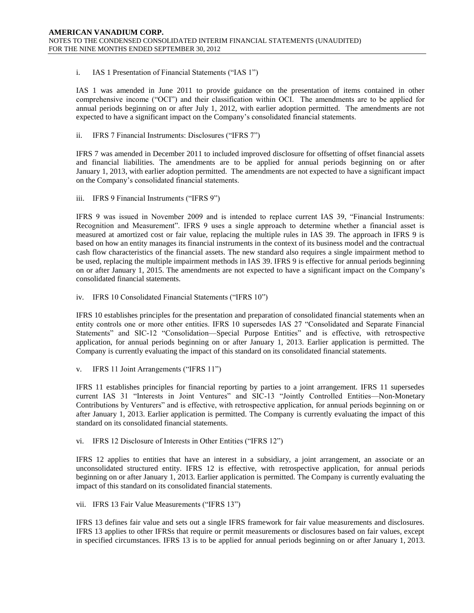# i. IAS 1 Presentation of Financial Statements ("IAS 1")

IAS 1 was amended in June 2011 to provide guidance on the presentation of items contained in other comprehensive income ("OCI") and their classification within OCI. The amendments are to be applied for annual periods beginning on or after July 1, 2012, with earlier adoption permitted. The amendments are not expected to have a significant impact on the Company's consolidated financial statements.

# ii. IFRS 7 Financial Instruments: Disclosures ("IFRS 7")

IFRS 7 was amended in December 2011 to included improved disclosure for offsetting of offset financial assets and financial liabilities. The amendments are to be applied for annual periods beginning on or after January 1, 2013, with earlier adoption permitted. The amendments are not expected to have a significant impact on the Company's consolidated financial statements.

### iii. IFRS 9 Financial Instruments ("IFRS 9")

IFRS 9 was issued in November 2009 and is intended to replace current IAS 39, "Financial Instruments: Recognition and Measurement". IFRS 9 uses a single approach to determine whether a financial asset is measured at amortized cost or fair value, replacing the multiple rules in IAS 39. The approach in IFRS 9 is based on how an entity manages its financial instruments in the context of its business model and the contractual cash flow characteristics of the financial assets. The new standard also requires a single impairment method to be used, replacing the multiple impairment methods in IAS 39. IFRS 9 is effective for annual periods beginning on or after January 1, 2015. The amendments are not expected to have a significant impact on the Company's consolidated financial statements.

iv. IFRS 10 Consolidated Financial Statements ("IFRS 10")

IFRS 10 establishes principles for the presentation and preparation of consolidated financial statements when an entity controls one or more other entities. IFRS 10 supersedes IAS 27 "Consolidated and Separate Financial Statements" and SIC-12 "Consolidation—Special Purpose Entities" and is effective, with retrospective application, for annual periods beginning on or after January 1, 2013. Earlier application is permitted. The Company is currently evaluating the impact of this standard on its consolidated financial statements.

v. IFRS 11 Joint Arrangements ("IFRS 11")

IFRS 11 establishes principles for financial reporting by parties to a joint arrangement. IFRS 11 supersedes current IAS 31 "Interests in Joint Ventures" and SIC-13 "Jointly Controlled Entities—Non-Monetary Contributions by Venturers" and is effective, with retrospective application, for annual periods beginning on or after January 1, 2013. Earlier application is permitted. The Company is currently evaluating the impact of this standard on its consolidated financial statements.

vi. IFRS 12 Disclosure of Interests in Other Entities ("IFRS 12")

IFRS 12 applies to entities that have an interest in a subsidiary, a joint arrangement, an associate or an unconsolidated structured entity. IFRS 12 is effective, with retrospective application, for annual periods beginning on or after January 1, 2013. Earlier application is permitted. The Company is currently evaluating the impact of this standard on its consolidated financial statements.

### vii. IFRS 13 Fair Value Measurements ("IFRS 13")

IFRS 13 defines fair value and sets out a single IFRS framework for fair value measurements and disclosures. IFRS 13 applies to other IFRSs that require or permit measurements or disclosures based on fair values, except in specified circumstances. IFRS 13 is to be applied for annual periods beginning on or after January 1, 2013.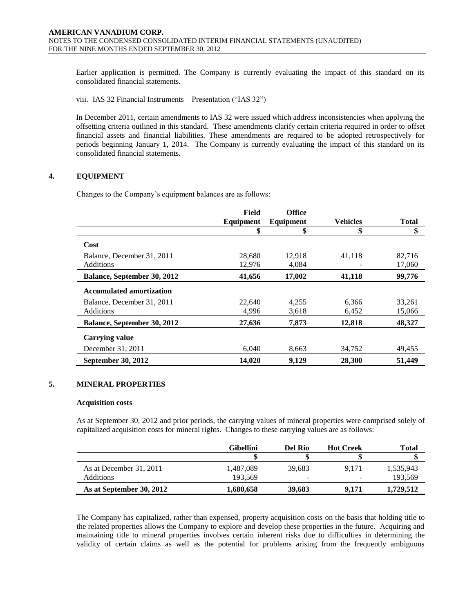Earlier application is permitted. The Company is currently evaluating the impact of this standard on its consolidated financial statements.

viii. IAS 32 Financial Instruments – Presentation ("IAS 32")

In December 2011, certain amendments to IAS 32 were issued which address inconsistencies when applying the offsetting criteria outlined in this standard. These amendments clarify certain criteria required in order to offset financial assets and financial liabilities. These amendments are required to be adopted retrospectively for periods beginning January 1, 2014. The Company is currently evaluating the impact of this standard on its consolidated financial statements.

# **4. EQUIPMENT**

Changes to the Company's equipment balances are as follows:

|                                 | Field     | <b>Office</b> |                 |              |
|---------------------------------|-----------|---------------|-----------------|--------------|
|                                 | Equipment | Equipment     | <b>Vehicles</b> | <b>Total</b> |
|                                 | \$        | \$            | \$              | \$           |
| Cost                            |           |               |                 |              |
| Balance, December 31, 2011      | 28,680    | 12.918        | 41,118          | 82.716       |
| <b>Additions</b>                | 12,976    | 4,084         |                 | 17,060       |
| Balance, September 30, 2012     | 41,656    | 17,002        | 41,118          | 99,776       |
| <b>Accumulated amortization</b> |           |               |                 |              |
| Balance, December 31, 2011      | 22,640    | 4,255         | 6,366           | 33,261       |
| <b>Additions</b>                | 4,996     | 3,618         | 6,452           | 15,066       |
| Balance, September 30, 2012     | 27,636    | 7,873         | 12,818          | 48,327       |
| <b>Carrying value</b>           |           |               |                 |              |
| December 31, 2011               | 6.040     | 8,663         | 34,752          | 49,455       |
| September 30, 2012              | 14,020    | 9,129         | 28,300          | 51,449       |

# **5. MINERAL PROPERTIES**

#### **Acquisition costs**

As at September 30, 2012 and prior periods, the carrying values of mineral properties were comprised solely of capitalized acquisition costs for mineral rights. Changes to these carrying values are as follows:

|                          | Gibellini | Del Rio                  | <b>Hot Creek</b> | <b>Total</b> |
|--------------------------|-----------|--------------------------|------------------|--------------|
|                          |           |                          |                  |              |
| As at December 31, 2011  | 1.487.089 | 39.683                   | 9.171            | 1,535,943    |
| Additions                | 193.569   | $\overline{\phantom{a}}$ |                  | 193,569      |
| As at September 30, 2012 | 1.680.658 | 39,683                   | 9.171            | 1,729,512    |

The Company has capitalized, rather than expensed, property acquisition costs on the basis that holding title to the related properties allows the Company to explore and develop these properties in the future. Acquiring and maintaining title to mineral properties involves certain inherent risks due to difficulties in determining the validity of certain claims as well as the potential for problems arising from the frequently ambiguous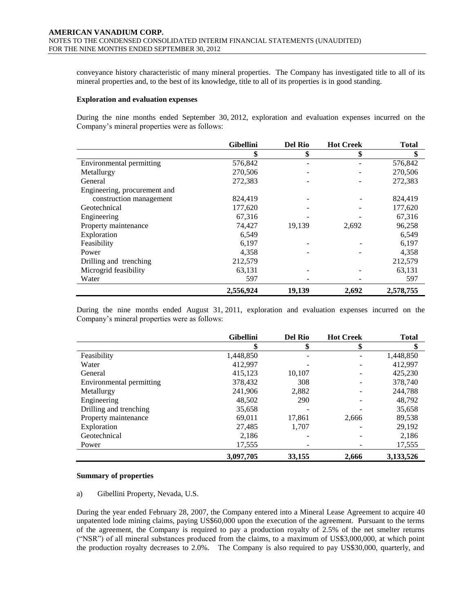conveyance history characteristic of many mineral properties. The Company has investigated title to all of its mineral properties and, to the best of its knowledge, title to all of its properties is in good standing.

#### **Exploration and evaluation expenses**

During the nine months ended September 30, 2012, exploration and evaluation expenses incurred on the Company's mineral properties were as follows:

|                              | <b>Gibellini</b> | <b>Del Rio</b> | <b>Hot Creek</b> | <b>Total</b> |
|------------------------------|------------------|----------------|------------------|--------------|
|                              | \$               | \$             | \$               | \$           |
| Environmental permitting     | 576,842          |                |                  | 576,842      |
| Metallurgy                   | 270,506          |                |                  | 270,506      |
| General                      | 272,383          |                |                  | 272,383      |
| Engineering, procurement and |                  |                |                  |              |
| construction management      | 824,419          |                |                  | 824,419      |
| Geotechnical                 | 177,620          |                |                  | 177,620      |
| Engineering                  | 67,316           |                |                  | 67,316       |
| Property maintenance         | 74,427           | 19,139         | 2,692            | 96,258       |
| Exploration                  | 6,549            |                |                  | 6,549        |
| Feasibility                  | 6,197            |                |                  | 6,197        |
| Power                        | 4,358            |                |                  | 4,358        |
| Drilling and trenching       | 212,579          |                |                  | 212,579      |
| Microgrid feasibility        | 63,131           |                |                  | 63,131       |
| Water                        | 597              |                |                  | 597          |
|                              | 2,556,924        | 19.139         | 2,692            | 2,578,755    |

During the nine months ended August 31, 2011, exploration and evaluation expenses incurred on the Company's mineral properties were as follows:

|                          | <b>Gibellini</b> | <b>Del Rio</b> | <b>Hot Creek</b> | <b>Total</b> |
|--------------------------|------------------|----------------|------------------|--------------|
|                          | \$               | \$             | \$               | \$           |
| Feasibility              | 1,448,850        |                |                  | 1,448,850    |
| Water                    | 412,997          |                |                  | 412,997      |
| General                  | 415,123          | 10,107         |                  | 425,230      |
| Environmental permitting | 378,432          | 308            |                  | 378,740      |
| Metallurgy               | 241,906          | 2,882          |                  | 244.788      |
| Engineering              | 48,502           | 290            |                  | 48,792       |
| Drilling and trenching   | 35,658           |                |                  | 35,658       |
| Property maintenance     | 69,011           | 17,861         | 2,666            | 89,538       |
| Exploration              | 27,485           | 1,707          |                  | 29,192       |
| Geotechnical             | 2,186            |                |                  | 2,186        |
| Power                    | 17,555           |                |                  | 17,555       |
|                          | 3,097,705        | 33,155         | 2,666            | 3,133,526    |

### **Summary of properties**

a) Gibellini Property, Nevada, U.S.

During the year ended February 28, 2007, the Company entered into a Mineral Lease Agreement to acquire 40 unpatented lode mining claims, paying US\$60,000 upon the execution of the agreement. Pursuant to the terms of the agreement, the Company is required to pay a production royalty of 2.5% of the net smelter returns (―NSR‖) of all mineral substances produced from the claims, to a maximum of US\$3,000,000, at which point the production royalty decreases to 2.0%. The Company is also required to pay US\$30,000, quarterly, and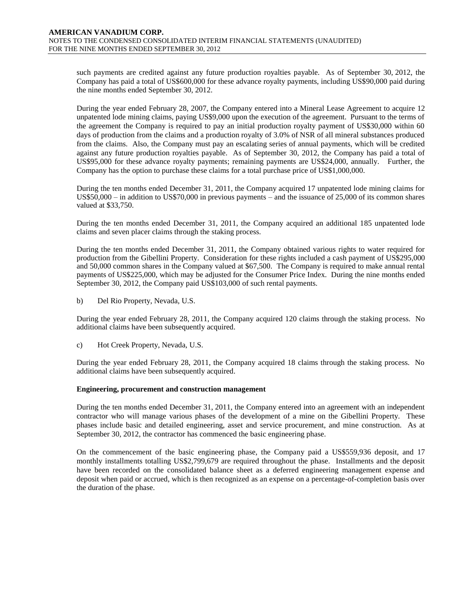such payments are credited against any future production royalties payable. As of September 30, 2012, the Company has paid a total of US\$600,000 for these advance royalty payments, including US\$90,000 paid during the nine months ended September 30, 2012.

During the year ended February 28, 2007, the Company entered into a Mineral Lease Agreement to acquire 12 unpatented lode mining claims, paying US\$9,000 upon the execution of the agreement. Pursuant to the terms of the agreement the Company is required to pay an initial production royalty payment of US\$30,000 within 60 days of production from the claims and a production royalty of 3.0% of NSR of all mineral substances produced from the claims. Also, the Company must pay an escalating series of annual payments, which will be credited against any future production royalties payable. As of September 30, 2012, the Company has paid a total of US\$95,000 for these advance royalty payments; remaining payments are US\$24,000, annually. Further, the Company has the option to purchase these claims for a total purchase price of US\$1,000,000.

During the ten months ended December 31, 2011, the Company acquired 17 unpatented lode mining claims for US\$50,000 – in addition to US\$70,000 in previous payments – and the issuance of 25,000 of its common shares valued at \$33,750.

During the ten months ended December 31, 2011, the Company acquired an additional 185 unpatented lode claims and seven placer claims through the staking process.

During the ten months ended December 31, 2011, the Company obtained various rights to water required for production from the Gibellini Property. Consideration for these rights included a cash payment of US\$295,000 and 50,000 common shares in the Company valued at \$67,500. The Company is required to make annual rental payments of US\$225,000, which may be adjusted for the Consumer Price Index. During the nine months ended September 30, 2012, the Company paid US\$103,000 of such rental payments.

b) Del Rio Property, Nevada, U.S.

During the year ended February 28, 2011, the Company acquired 120 claims through the staking process. No additional claims have been subsequently acquired.

c) Hot Creek Property, Nevada, U.S.

During the year ended February 28, 2011, the Company acquired 18 claims through the staking process. No additional claims have been subsequently acquired.

### **Engineering, procurement and construction management**

During the ten months ended December 31, 2011, the Company entered into an agreement with an independent contractor who will manage various phases of the development of a mine on the Gibellini Property. These phases include basic and detailed engineering, asset and service procurement, and mine construction. As at September 30, 2012, the contractor has commenced the basic engineering phase.

On the commencement of the basic engineering phase, the Company paid a US\$559,936 deposit, and 17 monthly installments totalling US\$2,799,679 are required throughout the phase. Installments and the deposit have been recorded on the consolidated balance sheet as a deferred engineering management expense and deposit when paid or accrued, which is then recognized as an expense on a percentage-of-completion basis over the duration of the phase.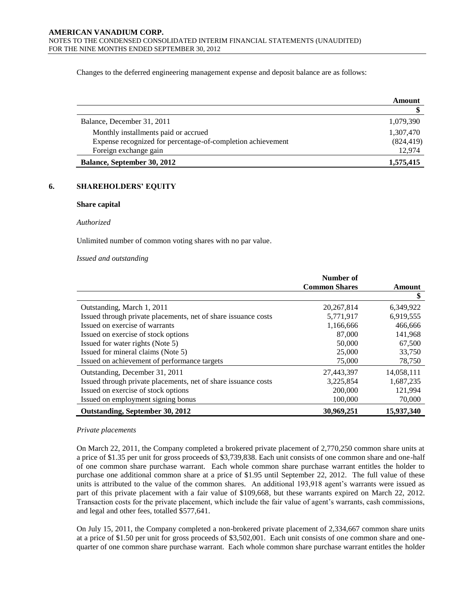Changes to the deferred engineering management expense and deposit balance are as follows:

|                                                             | Amount     |
|-------------------------------------------------------------|------------|
|                                                             |            |
| Balance, December 31, 2011                                  | 1,079,390  |
| Monthly installments paid or accrued                        | 1,307,470  |
| Expense recognized for percentage-of-completion achievement | (824, 419) |
| Foreign exchange gain                                       | 12.974     |
| <b>Balance, September 30, 2012</b>                          | 1,575,415  |

# **6. SHAREHOLDERS' EQUITY**

# **Share capital**

#### *Authorized*

Unlimited number of common voting shares with no par value.

#### *Issued and outstanding*

|                                                                | Number of            |            |
|----------------------------------------------------------------|----------------------|------------|
|                                                                | <b>Common Shares</b> | Amount     |
|                                                                |                      | \$         |
| Outstanding, March 1, 2011                                     | 20, 267, 814         | 6,349,922  |
| Issued through private placements, net of share issuance costs | 5,771,917            | 6,919,555  |
| Issued on exercise of warrants                                 | 1,166,666            | 466,666    |
| Issued on exercise of stock options                            | 87,000               | 141,968    |
| Issued for water rights (Note 5)                               | 50,000               | 67,500     |
| Issued for mineral claims (Note 5)                             | 25,000               | 33,750     |
| Issued on achievement of performance targets                   | 75,000               | 78,750     |
| Outstanding, December 31, 2011                                 | 27,443,397           | 14,058,111 |
| Issued through private placements, net of share issuance costs | 3,225,854            | 1,687,235  |
| Issued on exercise of stock options                            | 200,000              | 121,994    |
| Issued on employment signing bonus                             | 100,000              | 70,000     |
| Outstanding, September 30, 2012                                | 30,969,251           | 15,937,340 |

### *Private placements*

On March 22, 2011, the Company completed a brokered private placement of 2,770,250 common share units at a price of \$1.35 per unit for gross proceeds of \$3,739,838. Each unit consists of one common share and one-half of one common share purchase warrant. Each whole common share purchase warrant entitles the holder to purchase one additional common share at a price of \$1.95 until September 22, 2012. The full value of these units is attributed to the value of the common shares. An additional 193,918 agent's warrants were issued as part of this private placement with a fair value of \$109,668, but these warrants expired on March 22, 2012. Transaction costs for the private placement, which include the fair value of agent's warrants, cash commissions, and legal and other fees, totalled \$577,641.

On July 15, 2011, the Company completed a non-brokered private placement of 2,334,667 common share units at a price of \$1.50 per unit for gross proceeds of \$3,502,001. Each unit consists of one common share and onequarter of one common share purchase warrant. Each whole common share purchase warrant entitles the holder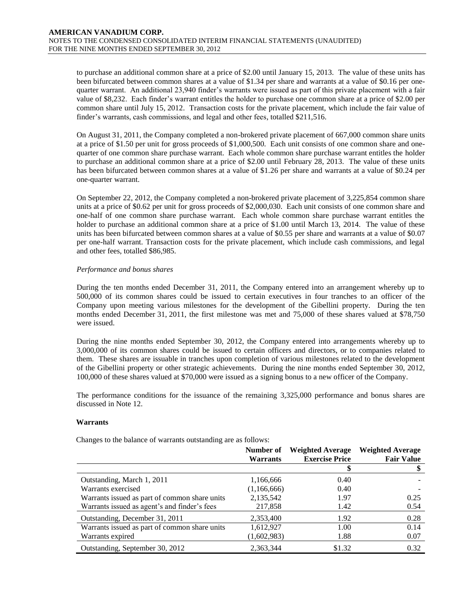to purchase an additional common share at a price of \$2.00 until January 15, 2013. The value of these units has been bifurcated between common shares at a value of \$1.34 per share and warrants at a value of \$0.16 per onequarter warrant. An additional 23,940 finder's warrants were issued as part of this private placement with a fair value of \$8,232. Each finder's warrant entitles the holder to purchase one common share at a price of \$2.00 per common share until July 15, 2012. Transaction costs for the private placement, which include the fair value of finder's warrants, cash commissions, and legal and other fees, totalled \$211,516.

On August 31, 2011, the Company completed a non-brokered private placement of 667,000 common share units at a price of \$1.50 per unit for gross proceeds of \$1,000,500. Each unit consists of one common share and onequarter of one common share purchase warrant. Each whole common share purchase warrant entitles the holder to purchase an additional common share at a price of \$2.00 until February 28, 2013. The value of these units has been bifurcated between common shares at a value of \$1.26 per share and warrants at a value of \$0.24 per one-quarter warrant.

On September 22, 2012, the Company completed a non-brokered private placement of 3,225,854 common share units at a price of \$0.62 per unit for gross proceeds of \$2,000,030. Each unit consists of one common share and one-half of one common share purchase warrant. Each whole common share purchase warrant entitles the holder to purchase an additional common share at a price of \$1.00 until March 13, 2014. The value of these units has been bifurcated between common shares at a value of \$0.55 per share and warrants at a value of \$0.07 per one-half warrant. Transaction costs for the private placement, which include cash commissions, and legal and other fees, totalled \$86,985.

# *Performance and bonus shares*

During the ten months ended December 31, 2011, the Company entered into an arrangement whereby up to 500,000 of its common shares could be issued to certain executives in four tranches to an officer of the Company upon meeting various milestones for the development of the Gibellini property. During the ten months ended December 31, 2011, the first milestone was met and 75,000 of these shares valued at \$78,750 were issued.

During the nine months ended September 30, 2012, the Company entered into arrangements whereby up to 3,000,000 of its common shares could be issued to certain officers and directors, or to companies related to them. These shares are issuable in tranches upon completion of various milestones related to the development of the Gibellini property or other strategic achievements. During the nine months ended September 30, 2012, 100,000 of these shares valued at \$70,000 were issued as a signing bonus to a new officer of the Company.

The performance conditions for the issuance of the remaining 3,325,000 performance and bonus shares are discussed in Note 12.

### **Warrants**

Changes to the balance of warrants outstanding are as follows:

|                                               | Number of       | <b>Weighted Average</b> | <b>Weighted Average</b> |
|-----------------------------------------------|-----------------|-------------------------|-------------------------|
|                                               | <b>Warrants</b> | <b>Exercise Price</b>   | <b>Fair Value</b>       |
|                                               |                 |                         |                         |
| Outstanding, March 1, 2011                    | 1,166,666       | 0.40                    |                         |
| Warrants exercised                            | (1,166,666)     | 0.40                    |                         |
| Warrants issued as part of common share units | 2,135,542       | 1.97                    | 0.25                    |
| Warrants issued as agent's and finder's fees  | 217,858         | 1.42                    | 0.54                    |
| Outstanding, December 31, 2011                | 2,353,400       | 1.92                    | 0.28                    |
| Warrants issued as part of common share units | 1,612,927       | 1.00                    | 0.14                    |
| Warrants expired                              | (1,602,983)     | 1.88                    | 0.07                    |
| Outstanding, September 30, 2012               | 2,363,344       | \$1.32                  | 0.32                    |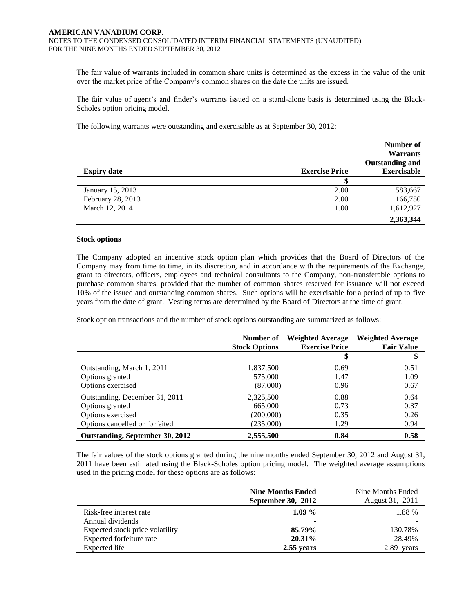The fair value of warrants included in common share units is determined as the excess in the value of the unit over the market price of the Company's common shares on the date the units are issued.

The fair value of agent's and finder's warrants issued on a stand-alone basis is determined using the Black-Scholes option pricing model.

The following warrants were outstanding and exercisable as at September 30, 2012:

|                    |                       | Number of<br><b>Warrants</b><br><b>Outstanding and</b> |
|--------------------|-----------------------|--------------------------------------------------------|
| <b>Expiry date</b> | <b>Exercise Price</b> | <b>Exercisable</b>                                     |
|                    | \$                    |                                                        |
| January 15, 2013   | 2.00                  | 583,667                                                |
| February 28, 2013  | 2.00                  | 166,750                                                |
| March 12, 2014     | 1.00                  | 1,612,927                                              |
|                    |                       | 2,363,344                                              |

#### **Stock options**

The Company adopted an incentive stock option plan which provides that the Board of Directors of the Company may from time to time, in its discretion, and in accordance with the requirements of the Exchange, grant to directors, officers, employees and technical consultants to the Company, non-transferable options to purchase common shares, provided that the number of common shares reserved for issuance will not exceed 10% of the issued and outstanding common shares. Such options will be exercisable for a period of up to five years from the date of grant. Vesting terms are determined by the Board of Directors at the time of grant.

Stock option transactions and the number of stock options outstanding are summarized as follows:

|                                 | Number of<br><b>Stock Options</b> | <b>Weighted Average</b><br><b>Exercise Price</b> | <b>Weighted Average</b><br><b>Fair Value</b> |
|---------------------------------|-----------------------------------|--------------------------------------------------|----------------------------------------------|
|                                 |                                   |                                                  |                                              |
| Outstanding, March 1, 2011      | 1,837,500                         | 0.69                                             | 0.51                                         |
| Options granted                 | 575,000                           | 1.47                                             | 1.09                                         |
| Options exercised               | (87,000)                          | 0.96                                             | 0.67                                         |
| Outstanding, December 31, 2011  | 2,325,500                         | 0.88                                             | 0.64                                         |
| Options granted                 | 665,000                           | 0.73                                             | 0.37                                         |
| Options exercised               | (200,000)                         | 0.35                                             | 0.26                                         |
| Options cancelled or forfeited  | (235,000)                         | 1.29                                             | 0.94                                         |
| Outstanding, September 30, 2012 | 2,555,500                         | 0.84                                             | 0.58                                         |

The fair values of the stock options granted during the nine months ended September 30, 2012 and August 31, 2011 have been estimated using the Black-Scholes option pricing model. The weighted average assumptions used in the pricing model for these options are as follows:

|                                 | <b>Nine Months Ended</b><br><b>September 30, 2012</b> | Nine Months Ended<br>August 31, 2011 |
|---------------------------------|-------------------------------------------------------|--------------------------------------|
| Risk-free interest rate         | $1.09\%$                                              | 1.88 %                               |
| Annual dividends                |                                                       |                                      |
| Expected stock price volatility | 85.79%                                                | 130.78%                              |
| Expected forfeiture rate        | 20.31%                                                | 28.49%                               |
| Expected life                   | $2.55$ years                                          | 2.89<br>vears                        |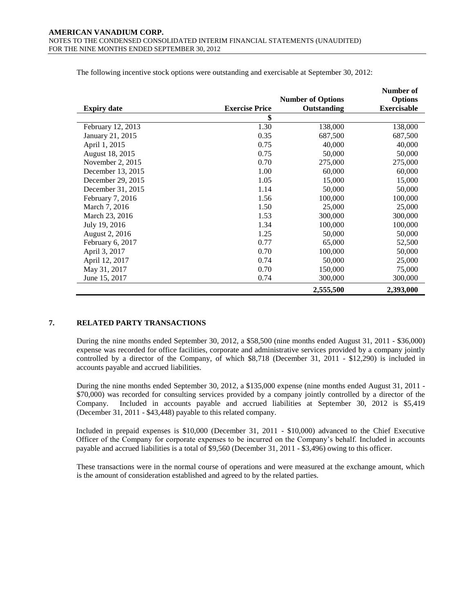|                    |                       |                          | Number of          |
|--------------------|-----------------------|--------------------------|--------------------|
|                    |                       | <b>Number of Options</b> | <b>Options</b>     |
| <b>Expiry date</b> | <b>Exercise Price</b> | Outstanding              | <b>Exercisable</b> |
|                    | \$                    |                          |                    |
| February 12, 2013  | 1.30                  | 138,000                  | 138,000            |
| January 21, 2015   | 0.35                  | 687,500                  | 687,500            |
| April 1, 2015      | 0.75                  | 40,000                   | 40,000             |
| August 18, 2015    | 0.75                  | 50,000                   | 50,000             |
| November $2, 2015$ | 0.70                  | 275,000                  | 275,000            |
| December 13, 2015  | 1.00                  | 60,000                   | 60,000             |
| December 29, 2015  | 1.05                  | 15,000                   | 15,000             |
| December 31, 2015  | 1.14                  | 50,000                   | 50,000             |
| February 7, 2016   | 1.56                  | 100,000                  | 100,000            |
| March 7, 2016      | 1.50                  | 25,000                   | 25,000             |
| March 23, 2016     | 1.53                  | 300,000                  | 300,000            |
| July 19, 2016      | 1.34                  | 100,000                  | 100,000            |
| August 2, 2016     | 1.25                  | 50,000                   | 50,000             |
| February 6, 2017   | 0.77                  | 65,000                   | 52,500             |
| April 3, 2017      | 0.70                  | 100,000                  | 50,000             |
| April 12, 2017     | 0.74                  | 50,000                   | 25,000             |
| May 31, 2017       | 0.70                  | 150,000                  | 75,000             |
| June 15, 2017      | 0.74                  | 300,000                  | 300,000            |
|                    |                       | 2,555,500                | 2,393,000          |

The following incentive stock options were outstanding and exercisable at September 30, 2012:

# **7. RELATED PARTY TRANSACTIONS**

During the nine months ended September 30, 2012, a \$58,500 (nine months ended August 31, 2011 - \$36,000) expense was recorded for office facilities, corporate and administrative services provided by a company jointly controlled by a director of the Company, of which \$8,718 (December 31, 2011 - \$12,290) is included in accounts payable and accrued liabilities.

During the nine months ended September 30, 2012, a \$135,000 expense (nine months ended August 31, 2011 - \$70,000) was recorded for consulting services provided by a company jointly controlled by a director of the Company. Included in accounts payable and accrued liabilities at September 30, 2012 is \$5,419 (December 31, 2011 - \$43,448) payable to this related company.

Included in prepaid expenses is \$10,000 (December 31, 2011 - \$10,000) advanced to the Chief Executive Officer of the Company for corporate expenses to be incurred on the Company's behalf. Included in accounts payable and accrued liabilities is a total of \$9,560 (December 31, 2011 - \$3,496) owing to this officer.

These transactions were in the normal course of operations and were measured at the exchange amount, which is the amount of consideration established and agreed to by the related parties.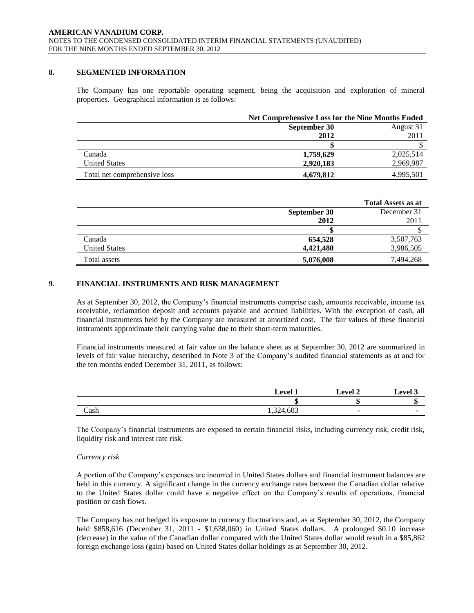# **8. SEGMENTED INFORMATION**

The Company has one reportable operating segment, being the acquisition and exploration of mineral properties. Geographical information is as follows:

|                              |              | <b>Net Comprehensive Loss for the Nine Months Ended</b> |  |
|------------------------------|--------------|---------------------------------------------------------|--|
|                              | September 30 | August 31                                               |  |
|                              | 2012         | 2011                                                    |  |
|                              |              |                                                         |  |
| Canada                       | 1,759,629    | 2,025,514                                               |  |
| <b>United States</b>         | 2,920,183    | 2,969,987                                               |  |
| Total net comprehensive loss | 4,679,812    | 4,995,501                                               |  |

|                      |              | <b>Total Assets as at</b> |
|----------------------|--------------|---------------------------|
|                      | September 30 | December 31               |
|                      | 2012         | 2011                      |
|                      |              |                           |
| Canada               | 654,528      | 3,507,763                 |
| <b>United States</b> | 4,421,480    | 3,986,505                 |
| Total assets         | 5,076,008    | 7,494,268                 |

# **9**. **FINANCIAL INSTRUMENTS AND RISK MANAGEMENT**

As at September 30, 2012, the Company's financial instruments comprise cash, amounts receivable, income tax receivable, reclamation deposit and accounts payable and accrued liabilities. With the exception of cash, all financial instruments held by the Company are measured at amortized cost. The fair values of these financial instruments approximate their carrying value due to their short-term maturities.

Financial instruments measured at fair value on the balance sheet as at September 30, 2012 are summarized in levels of fair value hierarchy, described in Note 3 of the Company's audited financial statements as at and for the ten months ended December 31, 2011, as follows:

|      | evel      | evel 2 | Level 3 |
|------|-----------|--------|---------|
|      |           |        | ш       |
| Cash | 1,324,603 |        |         |

The Company's financial instruments are exposed to certain financial risks, including currency risk, credit risk, liquidity risk and interest rate risk.

### *Currency risk*

A portion of the Company's expenses are incurred in United States dollars and financial instrument balances are held in this currency. A significant change in the currency exchange rates between the Canadian dollar relative to the United States dollar could have a negative effect on the Company's results of operations, financial position or cash flows.

The Company has not hedged its exposure to currency fluctuations and, as at September 30, 2012, the Company held \$858,616 (December 31, 2011 - \$1,638,060) in United States dollars. A prolonged \$0.10 increase (decrease) in the value of the Canadian dollar compared with the United States dollar would result in a \$85,862 foreign exchange loss (gain) based on United States dollar holdings as at September 30, 2012.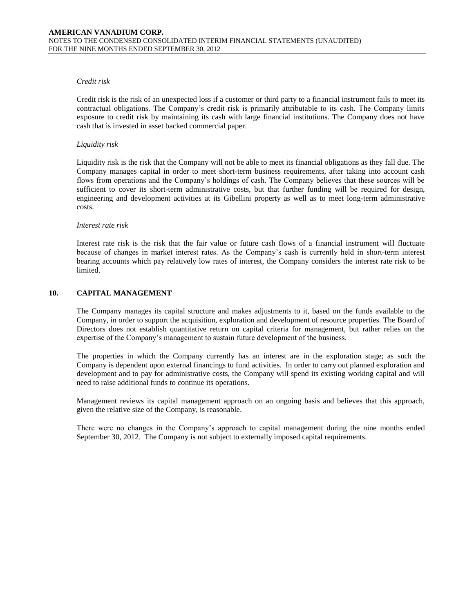# *Credit risk*

Credit risk is the risk of an unexpected loss if a customer or third party to a financial instrument fails to meet its contractual obligations. The Company's credit risk is primarily attributable to its cash. The Company limits exposure to credit risk by maintaining its cash with large financial institutions. The Company does not have cash that is invested in asset backed commercial paper.

# *Liquidity risk*

Liquidity risk is the risk that the Company will not be able to meet its financial obligations as they fall due. The Company manages capital in order to meet short-term business requirements, after taking into account cash flows from operations and the Company's holdings of cash. The Company believes that these sources will be sufficient to cover its short-term administrative costs, but that further funding will be required for design, engineering and development activities at its Gibellini property as well as to meet long-term administrative costs.

### *Interest rate risk*

Interest rate risk is the risk that the fair value or future cash flows of a financial instrument will fluctuate because of changes in market interest rates. As the Company's cash is currently held in short-term interest bearing accounts which pay relatively low rates of interest, the Company considers the interest rate risk to be limited.

# **10. CAPITAL MANAGEMENT**

The Company manages its capital structure and makes adjustments to it, based on the funds available to the Company, in order to support the acquisition, exploration and development of resource properties. The Board of Directors does not establish quantitative return on capital criteria for management, but rather relies on the expertise of the Company's management to sustain future development of the business.

The properties in which the Company currently has an interest are in the exploration stage; as such the Company is dependent upon external financings to fund activities. In order to carry out planned exploration and development and to pay for administrative costs, the Company will spend its existing working capital and will need to raise additional funds to continue its operations.

Management reviews its capital management approach on an ongoing basis and believes that this approach, given the relative size of the Company, is reasonable.

There were no changes in the Company's approach to capital management during the nine months ended September 30, 2012. The Company is not subject to externally imposed capital requirements.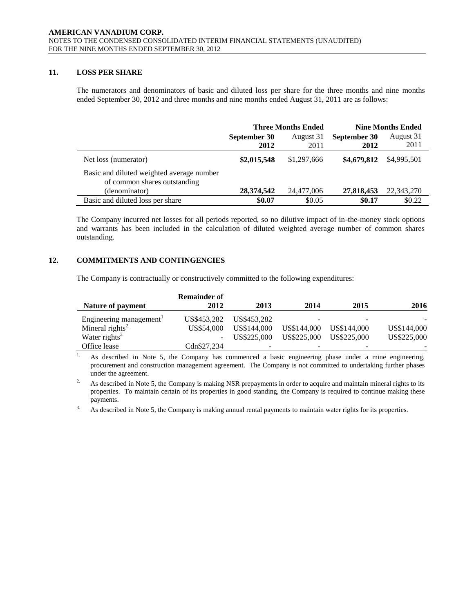# **11. LOSS PER SHARE**

The numerators and denominators of basic and diluted loss per share for the three months and nine months ended September 30, 2012 and three months and nine months ended August 31, 2011 are as follows:

|                                                                           | <b>Three Months Ended</b> |                   | <b>Nine Months Ended</b> |                   |
|---------------------------------------------------------------------------|---------------------------|-------------------|--------------------------|-------------------|
|                                                                           | September 30<br>2012      | August 31<br>2011 | September 30<br>2012     | August 31<br>2011 |
| Net loss (numerator)                                                      | \$2,015,548               | \$1,297,666       | \$4,679,812              | \$4,995,501       |
| Basic and diluted weighted average number<br>of common shares outstanding |                           |                   |                          |                   |
| (denominator)                                                             | 28,374,542                | 24,477,006        | 27,818,453               | 22,343,270        |
| Basic and diluted loss per share                                          | \$0.07                    | \$0.05            | \$0.17                   | \$0.22            |

The Company incurred net losses for all periods reported, so no dilutive impact of in-the-money stock options and warrants has been included in the calculation of diluted weighted average number of common shares outstanding.

# **12. COMMITMENTS AND CONTINGENCIES**

The Company is contractually or constructively committed to the following expenditures:

|                                     | <b>Remainder of</b> |             |             |             |             |
|-------------------------------------|---------------------|-------------|-------------|-------------|-------------|
| Nature of payment                   | 2012                | 2013        | 2014        | 2015        | 2016        |
| Engineering management <sup>1</sup> | US\$453.282         | US\$453.282 | -           |             |             |
| Mineral rights <sup>2</sup>         | US\$54,000          | US\$144,000 | US\$144,000 | US\$144,000 | US\$144,000 |
| Water rights <sup>3</sup>           | $\sim$              | US\$225,000 | US\$225,000 | US\$225,000 | US\$225,000 |
| Office lease                        | Cdn\$27.234         |             | -           |             |             |

<sup>1.</sup> As described in Note 5, the Company has commenced a basic engineering phase under a mine engineering, procurement and construction management agreement. The Company is not committed to undertaking further phases under the agreement.

<sup>2.</sup> As described in Note 5, the Company is making NSR prepayments in order to acquire and maintain mineral rights to its properties. To maintain certain of its properties in good standing, the Company is required to continue making these payments.

<sup>3.</sup> As described in Note 5, the Company is making annual rental payments to maintain water rights for its properties.